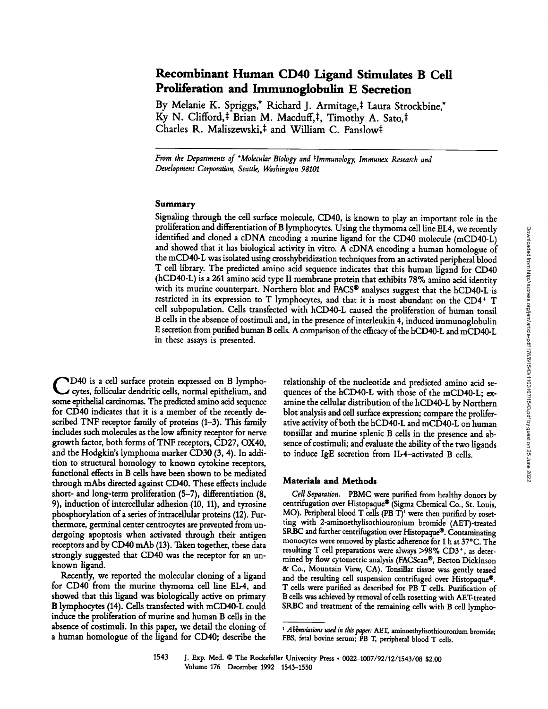# **Recombinant Human CD40 Ligand Stimulates B Cell**  Proliferation and Immunoglobulin E Secretion

By Melanie K. Spriggs,\* Richard J. Armitage,<sup>‡</sup> Laura Strockbine,\* Ky N. Clifford,<sup>‡</sup> Brian M. Macduff,<sup>‡</sup>, Timothy A. Sato,<sup>‡</sup> Charles R. Maliszewski,<sup>‡</sup> and William C. Fanslow<sup>‡</sup>

*From the Departments of \*Molecular Biology and \*Immunology, Immunex Research and Development Corporation, Seattle, Washington 98101* 

## Summary

Signaling through the cell surface molecule, CD40, is known to play an important role in the proliferation and differentiation of B lymphocytes. Using the thymoma cell line EL4, we recently identified and cloned a cDNA encoding a murine ligand for the CD40 molecule (mCD40-L) and showed that it has biological activity in vitro. A cDNA encoding a human homologue of the mCD40-L was isolated using crosshybridization techniques from an activated peripheral blood T cell library. The predicted amino acid sequence indicates that this human ligand for CD40 (hCD40-L) is a 261 amino acid type II membrane protein that exhibits 78% amino acid identity with its murine counterpart. Northern blot and  $FACS^{\circledast}$  analyses suggest that the hCD40-L is restricted in its expression to T lymphocytes, and that it is most abundant on the CD4+ T cell subpopulation. Cells transfected with hCD40-L caused the proliferation of human tonsil B cells in the absence of costimuli and, in the presence of interleukin 4, induced immunoglobulin E secretion from purified human B cells. A comparison of the efficacy of the hCD40-L and mCD40-L in these assays is presented.

**C** D40 is a cell surface protein expressed on B lympho-cytes, follicular dendritic cells, normal epithelium, and some epithelial carcinomas. The predicted amino acid sequence for CD40 indicates that it is a member of the recently described TNF receptor family of proteins (1-3). This family includes such molecules as the low affinity receptor for nerve growth factor, both forms of TNF receptors, CD27, OX40, and the Hodgkin's lymphoma marker CD30 (3, 4). In addition to structural homology to known cytokine receptors, functional effects in B cells have been shown to be mediated through mAbs directed against CD40. These effects include short- and long-term proliferation (5-7), differentiation (8, 9), induction of intercellular adhesion (10, 11), and tyrosine phosphorylation of a series of intracellular proteins (12). Furthermore, germinal center centrocytes are prevented from undergoing apoptosis when activated through their antigen receptors and by CD40 mAb (13). Taken together, these data strongly suggested that CD40 was the receptor for an unknown ligand.

Recently, we reported the molecular cloning of a ligand for CD40 from the murine thymoma cell line EL-4, and showed that this ligand was biologically active on primary B lymphocytes (14). Cells transfected with mCD40-L could induce the proliferation of murine and human B cells in the absence of costimuli. In this paper, we detail the cloning of a human homologue of the ligand for CD40; describe the relationship of the nucleotide and predicted amino acid sequences of the hCD40-L with those of the mCD40-L; examine the cellular distribution of the hCD40-L by Northern blot analysis and cell surface expression; compare the proliferative activity of both the hCD40-L and mCD40-L on human tonsillar and murine splenic B cells in the presence and absence of costimuli; and evaluate the ability of the two ligands to induce IgE secretion from IL-4-activated B cells.

### Materials and Methods

*Cell Separation.* PBMC were purified from healthy donors by centrifugation over Histopaque® (Sigma Chemical Co., St. Louis, MO). Peripheral blood T cells  $(PB T)^1$  were then purified by rosetring with 2-aminoethylisothiouronium bromide (AET)-treated SRBC and further centrifugation over Histopaque®. Contaminating monocytes were removed by plastic adherence for 1 h at 37°C. The resulting T cell preparations were always  $>98\%$  CD3<sup>+</sup>, as determined by flow cytometric analysis (FACScan<sup>®</sup>, Becton Dickinson & Co., Mountain View, CA). Tonsillar tissue was gently teased and the resulting cell suspension centrifuged over Histopaque®. T cells were purified as described for PB T cells. Purification of B cells was achieved by removal of cells rosetting with AET-treated SRBC and treatment of the remaining cells with B cell lympho-

*<sup>1</sup> Abbreviations used in this paper:* AET, aminoethylisothiouronium bromide; FBS, fetal bovine serum; PB T, peripheral blood T cells.

<sup>1543</sup> J. Exp. Med. © The Rockefeller University Press . 0022-1007/92/12/1543/08 \$2.00 Volume 176 December 1992 1543-1550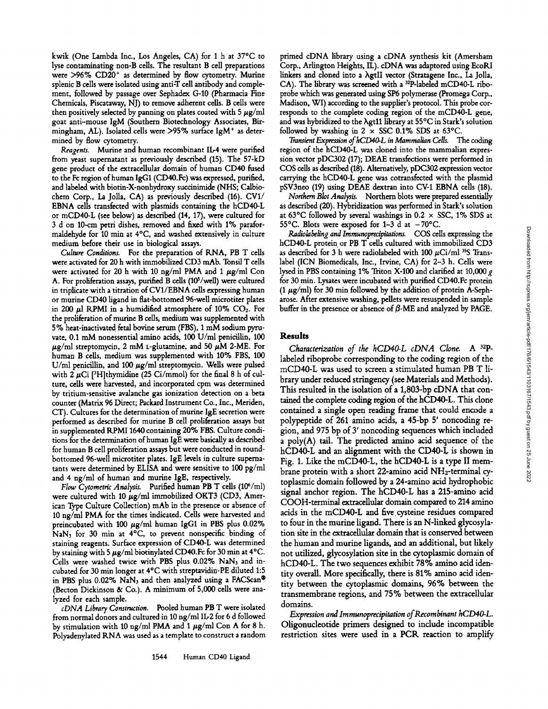kwik (One Lambda Inc., Los Angeles, CA) for 1 h at 37°C to lyse contaminating non-B cells. The resultant B cell preparations were  $>96\%$  CD20<sup>+</sup> as determined by flow cytometry. Murine splenic B cells were isolated using anti-T cell antibody and complement, followed by passage over Sephadex G-10 (Pharmacia Fine Chemicals, Piscataway, NJ) to remove adherent cells. B cells were then positively selected by panning on plates coated with 5  $\mu$ g/ml goat anti-mouse IgM (Southern Biotechnology Associates, Birmingham, AL). Isolated cells were >95% surface IgM<sup>+</sup> as determined by flow cytometry.

*Reagents.* Murine and human recombinant II.-4 were purified from yeast supernatant as previously described (15). The 57-kD gene product of the extracellular domain of human CD40 fused to the Fc region of human IgG1 (CD40.Fc) was expressed, purified, and labeled with biotin-X-nonhydroxy succinimide (NHS; Calbiochem Corp., La Jolla, CA) as previously described (16). CV1/ EBNA cells transfected with plasmids containing the hCD40-L or mCD40-L (see below) as described (14, 17), were cultured for 3 d on 10-cm petri dishes, removed and fixed with 1% paraformaldehyde for 10 min at 40C, and washed extensively in culture medium before their use in biological assays.

*Culture Conditions.* For the preparation of RNA, PB T cells were activated for 20 h with immobilized CD3 mAb. Tonsil T cells were activated for 20 h with 10 ng/ml PMA and 1  $\mu$ g/ml Con A. For proliferation assays, purified B cells  $(10<sup>5</sup>/well)$  were cultured in triplicate with a titration of CV1/EBNA cells expressing human or murine CD40 ligand in flat-bottomed 96-well microtiter plates in 200  $\mu$ l RPMI in a humidified atmosphere of 10% CO<sub>2</sub>. For the proliferation of murine B cells, medium was supplemented with 5% heat-inactivated fetal bovine serum (FBS), 1 mM sodium pyruvate, 0.1 mM nonessential amino acids, 100 U/ml penicillin, 100  $\mu$ g/ml streptomycin, 2 mM t-glutamine, and 50  $\mu$ M 2-ME. For human B cells, medium was supplemented with 10% FBS, 100 U/ml penicillin, and 100  $\mu$ g/ml streptomycin. Wells were pulsed with 2  $\mu$ Ci [<sup>3</sup>H]thymidine (25 Ci/mmol) for the final 8 h of culture, cells were harvested, and incorporated cpm was determined by tritium-sensitive avalanche gas ionization detection on a beta counter (Matrix 96 Direct; Packard Instrument Co., Inc., Meriden, CT). Cultures for the determination of murine IgE secretion were performed as described for murine B cell proliferation assays but in supplemented RPMI 1640 containing 20% FBS. Culture conditions for the determination of human lgE were basically as described for human B cell proliferation assays but were conducted in roundbottomed 96-well microtiter plates. IgE levels in culture supematants were determined by ELISA and were sensitive to 100 pg/ml and 4 ng/ml of human and murine IgE, respectively.

*Flow Cytometric Analysis.* Purified human PB T cells (106/ml) were cultured with 10  $\mu$ g/ml immobilized OKT3 (CD3, American Type Culture Collection) mAb in the presence or absence of 10 ng/ml PMA for the times indicated. Cells were harvested and preincubated with 100  $\mu$ g/ml human IgG1 in PBS plus 0.02%  $NaN<sub>3</sub>$  for 30 min at  $4°C$ , to prevent nonspecific binding of staining reagents. Surface expression of CD40-L was determined by staining with 5  $\mu$ g/ml biotinylated CD40.Fc for 30 min at 4°C. Cells were washed twice with PBS plus 0.02% NaN<sub>3</sub> and incubated for 30 min longer at 4°C with streptavidin-PE diluted 1:5 in PBS plus  $0.02\%$  NaN<sub>3</sub> and then analyzed using a FACScan® (Becton Dickinson & Co.). A minimum of 5,000 cells were analyzed for each sample.

*eDNA Library Construction.* Pooled human PB T were isolated from normal donors and cultured in 10 ng/ml IL-2 for 6 d followed by stimulation with 10 ng/ml PMA and 1  $\mu$ g/ml Con A for 8 h. Polyadenylated RNA was used as a template to construct a random primed eDNA library using a eDNA synthesis kit (Amersham Corp., Arlington Heights, IL). eDNA was adaptored using EcoRI linkers and cloned into a  $\lambda$ gtII vector (Stratagene Inc., La Jolla, CA). The library was screened with a <sup>32</sup>P-labeled mCD40-L riboprobe which was generated using SP6 polymerase (Promega Corp., Madison, WI) according to the supplier's protocol. This probe corresponds to the complete coding region of the mCD40-L gene, and was hybridized to the  $\lambda$ gt11 library at 55°C in Stark's solution followed by washing in  $2 \times$  SSC 0.1% SDS at 63°C.

*Transient Expression of hCD40-L in Mammalian Cells.* The coding region of the hCD40-L was cloned into the mammalian expression vector pDC302 (17); DEAE transfections were performed in COS ceils as described (18). Alternatively, pDC302 expression vector carrying the hCD40-L gene was cotransfected with the plasmid pSV3neo (19) using DEAE dextran into CV-1 EBNA cells (18).

*Northern Blot Analysis.* Northern blots were prepared essentially as described (20). Hybridization was performed in Stark's solution at 63°C followed by several washings in 0.2  $\times$  SSC, 1% SDS at 55°C. Blots were exposed for 1–3 d at  $-70^{\circ}$ C.

*Radiolabeting and Iraraunoprecipitations.* COS cells expressing the hCD40-L protein or PB T cells cultured with immobilized CD3 as described for 3 h were radiolabeled with 100  $\mu$ Ci/ml <sup>35</sup>S Translabel (ICN Biomedicals, Inc., Irvine, CA) for 2-3 h. Cells were lysed in PBS containing 1% Triton X-100 and clarified at 10,000  $g$ for 30 min. Lysates were incubated with purified CD40.Fc protein (1  $\mu$ g/ml) for 30 min followed by the addition of protein A-Sepharose. After extensive washing, pellets were resuspended in sample buffer in the presence or absence of  $\beta$ -ME and analyzed by PAGE.

### **Results**

*Characterization of the hCD40-L eDNA Clone.* A 32p\_ labeled riboprobe corresponding to the coding region of the mCD40-L was used to screen a stimulated human PB T library under reduced stringency (see Materials and Methods). This resulted in the isolation of a 1,803-bp eDNA that contained the complete coding region of the hCD40-L. This done contained a single open reading frame that could encode a polypeptide of 261 amino acids, a 45-bp 5' noncoding region, and 975 bp of Y noncoding sequences which included a poly(A) tail. The predicted amino acid sequence of the hCD40-L and an alignment with the CD40-L is shown in Fig. 1. Like the mCD40-L, the hCD40-L is a type II membrane protein with a short 22-amino acid NH2-terminal cytoplasmic domain followed by a 24-amino acid hydrophobic signal anchor region. The hCD40-L has a 215-amino acid COOH-terminal extracdlular domain compared to 214 amino acids in the mCD40-L and five cysteine residues compared to four in the murine ligand. There is an N-linked glycosylation site in the extracellular domain that is conserved between the human and murine ligands, and an additional, but likely not utilized, glycosylation site in the cytoplasmic domain of hCD40-L. The two sequences exhibit 78% amino acid identity overall. More specifically, there is 81% amino acid identity between the cytoplasmic domains, 96% between the transmembrane regions, and 75% between the extracellular domains.

*Expression and Iraraunoprecipitation of Recombinant hCD40-L.*  Oligonucleotide primers designed to include incompatible restriction sites were used in a PCK reaction to amplify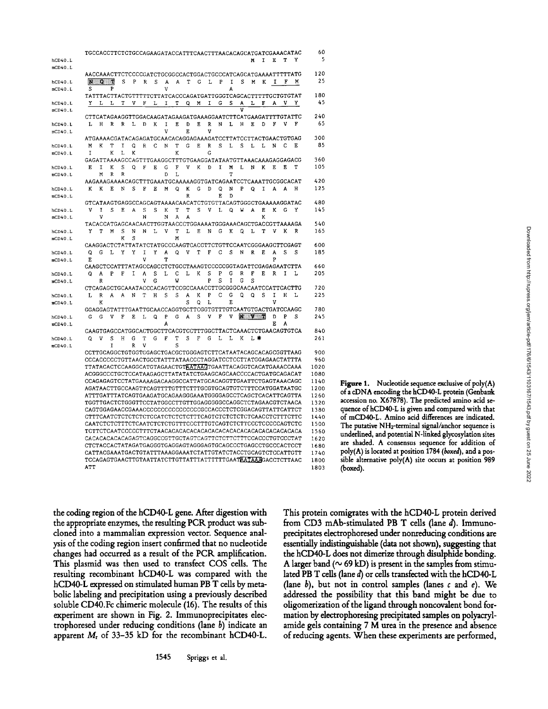|                | TGCCACCTTCTGTGCCAGAAGATACCATTTCAACTTTAACACAGCATGATCGAAACATAC             |              |   |        |    |   |    |        |   |   |   |        |   |   |                         |       |    |        |        |   | 60           |
|----------------|--------------------------------------------------------------------------|--------------|---|--------|----|---|----|--------|---|---|---|--------|---|---|-------------------------|-------|----|--------|--------|---|--------------|
| hCD40.L        |                                                                          |              |   |        |    |   |    |        |   |   |   |        |   |   |                         | N     | I  | E      | т      | Y | 5            |
| mCD40.L        |                                                                          |              |   |        |    |   |    |        |   |   |   |        |   |   |                         |       |    |        |        |   |              |
|                | AACCAAACTTCTCCCCGATCTGCGGCCACTGGACTGCCCATCAGCATGAAAATTTTTATG             |              |   |        |    |   |    |        |   |   |   |        |   |   |                         |       |    |        |        |   | 120          |
| hCD40.L        | W.                                                                       | $Q = T$      |   | S      | P  | R | S  | A      | A | Т | G | г      | P | I | s                       | M     | K  | 1      | F      | M | 25           |
| mCD40.L        | S                                                                        |              | P |        |    |   |    | V      |   |   |   |        |   | A |                         |       |    |        |        |   |              |
|                | TATTTACTTACTGTTTTTCTTATCACCCAGATGATTGGGTCAGCACTTTTTGCTGTGTAT             |              |   |        |    |   |    |        |   |   |   |        |   |   |                         |       |    |        |        |   | 180          |
| hCD40. L       | Y                                                                        | L            | L | т      | v  | F | L  | I      | Τ | Q | М | 1      | G | s | А                       | L     | F  | A      | v      | Y | 45           |
| mCD40.L        |                                                                          |              |   |        |    |   |    |        |   |   |   |        |   |   | $\overline{\mathtt{v}}$ |       |    |        |        |   | 240          |
|                | CTTCATAGAAGGTTGGACAAGATAGAAGATGAAAGGAATCTTCATGAAGATTTTGTATTC             |              |   |        |    |   |    |        |   |   |   |        |   |   |                         |       |    |        |        |   | 65           |
| hCD40.L        | L                                                                        | н            | R | R      | ١. | n | K  | I<br>V | E | D | Е | R<br>v | N | L | н                       | Ε     | D  | F      | v      | F |              |
| mCD40.1        | ATGAAAACGATACAGAGATGCAACACAGGAGAAAGATCCTTATCCTTACTGAACTGTGAG             |              |   |        |    |   |    |        |   | Е |   |        |   |   |                         |       |    |        |        |   | 300          |
| hCD40.L        | м                                                                        | K            | Т | Ι      | ۵  | R | C  | N      | T | G | E | R      | S | L | S                       | L     | L  | N      | C      | Е | 85           |
| mCD40.L        | I                                                                        |              | K | L      | K  |   |    |        | K |   |   | Ġ      |   |   |                         |       |    |        |        |   |              |
|                | GAGATTAAAAGCCAGTTTGAAGGCTTTGTGAAGGATATAATGTTAAACAAAGAGGAGACG             |              |   |        |    |   |    |        |   |   |   |        |   |   |                         |       |    |        |        |   | 360          |
| hCD40.L        | E.                                                                       | I            | K | S      | Q  | F | Е  | G      | F | V | K | D      | I | M | г                       | N     | K  | E      | Ε      | т | 105          |
| mCD40.1        |                                                                          | M            | R | R      |    |   |    | D      | L |   |   |        |   | T |                         |       |    |        |        |   |              |
|                | AAGAAAGAAAACAGCTTTGAAATGCAAAAAGGTGATCAGAATCCTCAAATTGCGGCACAT             |              |   |        |    |   |    |        |   |   |   |        |   |   |                         |       |    |        |        |   | 420          |
| hCD40.L        | ĸ                                                                        | ĸ            | E | N      | s  | F | E  | М      | Q | ĸ | G | D      | Q | N | P                       | Q     | I. | A      | A      | н | 125          |
| mCD40.L        |                                                                          |              |   |        |    |   |    |        |   | R |   |        | E | D |                         |       |    |        |        |   |              |
|                | GTCATAAGTGAGGCCAGCAGTAAAACAACATCTGTGTTACAGTGGGCTGAAAAAGGATAC             |              |   |        |    |   |    |        |   |   |   |        |   |   |                         |       |    |        |        |   | 480          |
| <b>hCD40.L</b> | v                                                                        | 1            | S | Е      | А  | S | S  | K      | т | T | S | v      | L | ۵ | W                       | А     | Ė  | K      | G      | Y | 145          |
| mCD40.L        |                                                                          | v            |   |        |    | N |    | N      | Α | А |   |        |   |   |                         |       | ĸ  |        |        |   |              |
|                | TACACCATGAGCAACAACTTGGTAACCCTGGAAAATGGGAAACAGCTGACCGTTAAAAGA             | т            | M |        | N  | N | τ. | v      | т | L | Ε |        |   | ĸ |                         |       | т  | v      | ĸ      | R | 540<br>165   |
| hCD40.L        | Y                                                                        |              |   | S<br>к | S  |   |    |        | M |   |   | N      | G |   | ٥                       | L     |    |        |        |   |              |
| mCD40.L        | CAAGGACTCTATTATATCTATGCCCAAGTCACCTTCTGTTCCAATCGGGAAGCTTCGAGT             |              |   |        |    |   |    |        |   |   |   |        |   |   |                         |       |    |        |        |   | 600          |
| hCD40.L        | Q                                                                        | G            | L | Y      | ٧  | I | Y  | Α      | O | ٧ | Т | F      | Ć | S | N                       | R     | Е  | A      | s      | s | 185          |
| mCD40.L        | E                                                                        |              |   |        |    | ٧ |    | T      |   |   |   |        |   |   |                         |       |    | P      |        |   |              |
|                | CAAGCTCCATTTATAGCCAGCCTCTGCCTAAAGTCCCCGGTAGATTCGAGAGAATCTTA              |              |   |        |    |   |    |        |   |   |   |        |   |   |                         |       |    |        |        |   | 660          |
| hCD40.L        | Q                                                                        | А            | P | F      | I  | A | S  | L      | С | L | K | S      | P | G | R                       | F     | Е  | R      | I      | L | 205          |
| mCD40.L        |                                                                          | R            |   |        |    | ٧ | G  |        | W |   |   | P      | S | I | G                       | S     |    |        |        |   |              |
|                | CTCAGAGCTGCAAATACCCACAGTTCCGCCAAACCTTGCGGGCAACAATCCATTCACTTG             |              |   |        |    |   |    |        |   |   |   |        |   |   |                         |       |    |        |        |   | 720          |
| hCD40.L        | L                                                                        | $\, {\bf R}$ | A | A      | N  | T | H  | S      | S | A | K | P      | Ċ | G | ٥                       | O     | Ś  | I      | H      | L | 225          |
| mCD40.L        |                                                                          | K            |   |        |    |   |    |        |   | S | Q | L      |   | Ε |                         |       |    | V      |        |   |              |
|                | GGAGGAGTATTTGAATTGCAACCAGGTGCTTCGGTGTTTGTCAATGTGACTGATCCAAGC             |              |   |        |    |   |    |        |   |   |   |        |   |   |                         |       |    |        |        |   | 780          |
| hCD40.L        | G                                                                        | G            | v | F      | Ε  | L | Q  | P      | G | А | s | v      | F | v |                         | N V G |    | D<br>E | Ъ<br>A | s | 245          |
| mCD40.L        | CAAGTGAGCCATGGCACTGGCTTCACGTCCTTTGGCTTACTCAAACTCTGAACAGTGTCA             |              |   |        |    |   |    | А      |   |   |   |        |   |   |                         |       |    |        |        |   | 840          |
| hCD40.L        | Q                                                                        | v            | S | н      | G  | Т | G  | F      | т | s | F | Ġ      | L | L | ĸ                       | ī. ¥k |    |        |        |   | 261          |
| mCD40.1        |                                                                          |              | I |        | R  | V |    |        | S |   |   |        |   |   |                         |       |    |        |        |   |              |
|                | CCTTGCAGGCTGTGGTGGAGCTGACGCTGGGAGTCTTCATAATACAGCACAGCGGTTAAG             |              |   |        |    |   |    |        |   |   |   |        |   |   |                         |       |    |        |        |   | 900          |
|                | CCCACCCCCTGTTAACTGCCTATTTATAACCCTAGGATCCTCCTTATGGAGAACTATTTA             |              |   |        |    |   |    |        |   |   |   |        |   |   |                         |       |    |        |        |   | 960          |
|                | TTATACACTCCAAGGCATGTAGAACTGTAATAAGTGAATTACAGGTCACATGAAACCAAA             |              |   |        |    |   |    |        |   |   |   |        |   |   |                         |       |    |        |        |   | 1020         |
|                | ACGGGCCCTGCTCCATAAGAGCTTATATATCTGAAGCAGCAACCCCACTGATGCAGACAT             |              |   |        |    |   |    |        |   |   |   |        |   |   |                         |       |    |        |        |   | 1080         |
|                | CCAGAGAGTCCTATGAAAAGACAAGGCCATTATGCACAGGTTGAATTCTGAGTAAACAGC             |              |   |        |    |   |    |        |   |   |   |        |   |   |                         |       |    |        |        |   | 1140         |
|                | AGATAACTTGCCAAGTTCAGTTTTGTTTCTTTGCGTGCAGTGTCTTTCCATGGATAATGC             |              |   |        |    |   |    |        |   |   |   |        |   |   |                         |       |    |        |        |   | 1200         |
|                | ATTTGATTTATCAGTGAAGATGCAGAAGGGAAATGGGGAGCCTCAGCTCACATTCAGTTA             |              |   |        |    |   |    |        |   |   |   |        |   |   |                         |       |    |        |        |   | 1260         |
|                | TGGTTGACTCTGGGTTCCTATGGCCTTGTTGGAGGGGGCCAGGCTCTAGAACGTCTAACA             |              |   |        |    |   |    |        |   |   |   |        |   |   |                         |       |    |        |        |   | 1320         |
|                |                                                                          |              |   |        |    |   |    |        |   |   |   |        |   |   |                         |       |    |        |        |   | 1380         |
|                |                                                                          |              |   |        |    |   |    |        |   |   |   |        |   |   |                         |       |    |        |        |   | 1440         |
|                |                                                                          |              |   |        |    |   |    |        |   |   |   |        |   |   |                         |       |    |        |        |   | 1500<br>1560 |
|                | CACACACACACAGAGTCAGGCCGTTGCTAGTCAGTTCTCTTCTTTCCACCCTGTCCCTAT             |              |   |        |    |   |    |        |   |   |   |        |   |   |                         |       |    |        |        |   | 1620         |
|                | CTCTACCACTATAGATGAGGGTGAGGAGTAGGGAGTGCAGCCCTGAGCCTGCCCACTCCT             |              |   |        |    |   |    |        |   |   |   |        |   |   |                         |       |    |        |        |   | 1680         |
|                | CATTACGAAATGACTGTATTTAAAGGAAATCTATTGTATCTACCTGCAGTCTCCATTGTT             |              |   |        |    |   |    |        |   |   |   |        |   |   |                         |       |    |        |        |   | 1740         |
|                | TCCAGAGTGAACTTGTAATTATCTTGTTATTTATTTTTGAAT <del>AATAAA</del> GACCTCTTAAC |              |   |        |    |   |    |        |   |   |   |        |   |   |                         |       |    |        |        |   | 1800         |
|                | ATT                                                                      |              |   |        |    |   |    |        |   |   |   |        |   |   |                         |       |    |        |        |   | 1803         |
|                |                                                                          |              |   |        |    |   |    |        |   |   |   |        |   |   |                         |       |    |        |        |   |              |

**Figure 1. Nucleotide sequence exclusive of poly(A) of a cDNA encoding the hCD40-L protein (Genbank accession no. X67878). The predicted amino acid sequence of hCD40-L is given and compared with that of mCD40-L. Amino acid differences are indicated. The putative NHz-terminal signal/anchor sequence is underlined, and potential N-linked glycosyhtion sites are shaded. A consensus sequence for addition of poly(A) is located at position 1784** *(boxed),* **and a possible alternative poly(A) site occurs at position 989**  (boxed).

**the coding region of the hCD40-L gene. After digestion with the appropriate enzymes, the resulting PCR product was subcloned into a mammalian expression vector. Sequence anal- },sis of the coding region insert confirmed that no nudeotide changes had occurred as a result of the PCK amplification. This plasmid was then used to transfect COS cells. The resulting recombinant hCD40-L was compared with the hCD40-L expressed on stimulated human PB T cells by metabolic labeling and precipitation using a previously described soluble CD40.Fc chimeric molecule (16). The results of this experiment are shown in Fig. 2. Immunoprecipitates electrophoresed under reducing conditions (lane b) indicate an apparent Mr of 33-35 kD for the recombinant hCD40-L.** 

**This protein comigrates with the hCD40-L protein derived from CD3 mAb-stimulated PB T cells (lane d). Immunoprecipitates electrophoresed under nonreducing conditions are essentially indistinguishable (data not shown), suggesting that the hCD40-L does not dimerize through disulphide bonding.**  A larger band ( $\sim$  69 kD) is present in the samples from stimu**lated PB T cells (lane d) or cells transfected with the hCD40-L (lane b), but not in control samples (lanes c and e). We addressed the possibility that this band might be due to oligomerization of the ligand through noncovalent bond formation by electrophoresing precipitated samples on polyacrylamide gels containing 7 M urea in the presence and absence of reducing agents. When these experiments are performed,**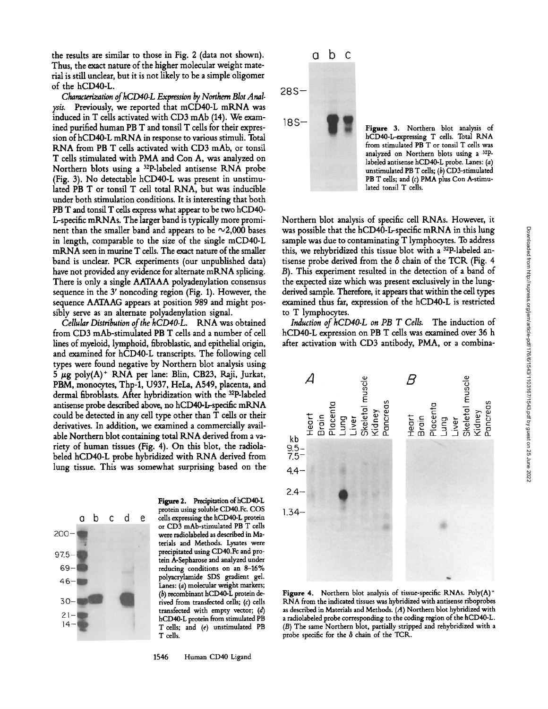the results are similar to those in Fig. 2 (data not shown). Thus, the exact nature of the higher molecular weight material is still undear, but it is not likely to be a simple oligomer of the hCD40-L.

*Characterization of hCD40-L Expression by Northern Blot Analyds.* Previously, we reported that mCD40-L mKNA was induced in T cells activated with CD3 mAb (14). We examined purified human PB T and tonsil T cells for their expression of hCD40-L mKNA in response to various stimuli. Total RNA from PB T cells activated with CD3 mAb, or tonsil T cells stimulated with PMA and Con A, was analyzed on Northern blots using a 32P-labeled antisense KNA probe (Fig. 3). No detectable hCD40-L was present in unstimulated PB T or tonsil T cell total RNA, but was inducible under both stimulation conditions. It is interesting that both PB T and tonsil T cells express what appear to be two hCD40- L-specific mKNAs. The larger band is typically more prominent than the smaller band and appears to be  $\sim$ 2,000 bases in length, comparable to the size of the single mCD40-L mRNA seen in murine T cells. The exact nature of the smaller band is unclear. PCK experiments (our unpublished data) have not provided any evidence for alternate mRNA splicing. There is only a single AATAAA polyadenylation consensus sequence in the 3' noncoding region (Fig. 1). However, the sequence AATAAG appears at position 989 and might possibly serve as an alternate polyadenylation signal.

*Cellular Distribution of the hCD40-L.* KNA was obtained from CD3 mAb-stimulated PB T cells and a number of call lines of myeloid, lymphoid, fibroblastic, and epithelial origin, and examined for hCD40-L transcripts. The following cell types were found negative by Northern blot analysis using  $5 \mu$ g poly(A)<sup>+</sup> RNA per lane: Blin, CB23, Raji, Jurkat, PBM, monocytes, Thp-1, U937, HeLa, A549, placenta, and dermal fibroblasts. After hybridization with the 32p-labeled antisense probe described above, no hCD40-L-specific mKNA could be detected in any cell type other than T cells or their derivatives. In addition, we examined a commercially available Northern blot containing total RNA derived from a variety of human tissues (Fig. 4). On this blot, the radiolabeled hCD40-L probe hybridized with RNA derived from lung tissue. This was somewhat surprising based on the



Figure 2. Precipitation of hCD40-L protein using soluble CD40.Fc. COS cells expressing the hCD40-L protein or CD3 mAb-stimulated PB T cells were radiolabeled as described in Materials and Methods. Lysates were precipitated using CD40.Fc and protein A-Sepharose and analyzed under reducing conditions on an 8-16% polyacrylamide SDS gradient gel. Lanes: (a) molecular weight markers; (b) recombinant hCD40-L protein derived from transfected cells; (c) cells transfected with empty vector; (d) hCD40-L protein from stimulated PB T cells; and (e) unstimulated PB T cells.





Figure 3. Northern blot analysis of hCD40-L-expressing T cells. Total KNA from stimulated PB T or tonsil T cells was analyzed on Northern blots using a 3zp. labeled antisense hCD40-L probe. Lanes: (a) unstimulated PB T cells;  $(b)$  CD3-stimulated PB T cells; and (c) PMA plus Con A-stimulated tonsil T cells.

Northern blot analysis of specific cell KNAs. However, it was possible that the hCD40-L-specific mRNA in this lung sample was due to contaminating T lymphocytes. To address this, we rehybridized this tissue blot with a 32p-labeled antisense probe derived from the  $\delta$  chain of the TCR (Fig. 4 B). This experiment resulted in the detection of a band of the expected size which was present exclusively in the lungderived sample. Therefore, it appears that within the cell types examined thus far, expression of the hCD40-L is restricted to T lymphocytes.

*Induction of hCD40-L on PB T Cells.* The induction of hCD40-L expression on PB T cells was examined over 36 h after activation with CD3 antibody, PMA, or a combina-



Figure 4. Northern blot analysis of tissue-specific RNAs. Poly $(A)^+$ RNA from the indicated tissues was hybridized with antisense riboprobes as described in Materials and Methods.  $(A)$  Northern blot hybridized with a radiolabeled probe corresponding to the coding region of the hCD40-L (B) The same Northern blot, partially stripped and rehybridized with a probe specific for the  $\delta$  chain of the TCR.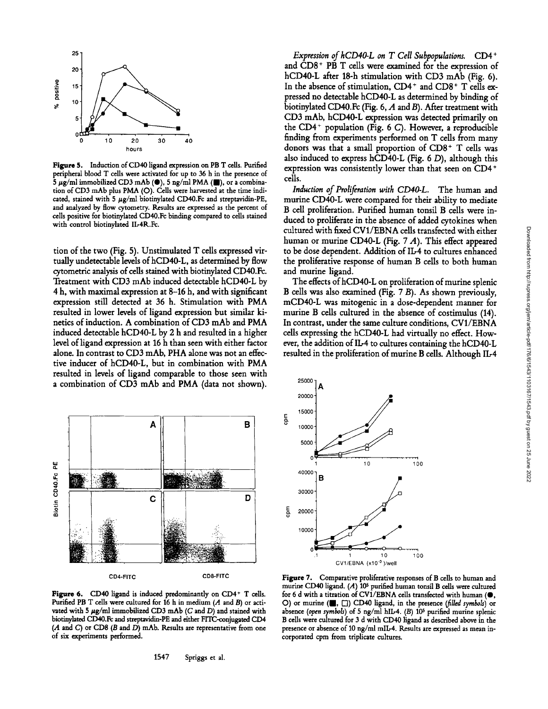

Figure 5. Induction of CD40 ligand expression on PB T cells. Purified peripheral blood T cells were activated for up to 36 h in the presence of  $\frac{1}{5} \mu$ g/ml immobilized CD3 mAb ( $\bullet$ ), 5 ng/ml PMA ( $\bullet$ ), or a combination of CD3 mAb plus PMA (O). Cells were harvested at the time indicated, stained with 5  $\mu$ g/ml biotinylated CD40.Fc and streptavidin-PE, and analyzed by flow cytometry. Results are expressed as the percent of cells positive for biotinylated CD40.Fc binding compared to cells stained with control hiotinylated IL-4R.Fc.

tion of the two (Fig. 5). Unstimulated T cells expressed virtually undetectable levels of hCD40-L, as determined by flow cytometric analysis of cells stained with biotinylated CD40.Fc. Treatment with CD3 mAb induced detectable hCD40-L by 4 h, with maximal expression at 8-16 h, and with significant expression still detected at 36 h. Stimulation with PMA resulted in lower levels of ligand expression but similar kinetics of induction. A combination of CD3 mAb and PMA induced detectable hCD40-L by 2 h and resulted in a higher level of ligand expression at 16 h than seen with either factor alone. In contrast to CD3 mAb, PHA alone was not an effective inducer of hCD40-L, but in combination with PMA resulted in levels of ligand comparable to those seen with a combination of CD3 mAb and PMA (data not shown).



Figure 6. CD40 ligand is induced predominantly on CD4<sup>+</sup> T cells. Purified PB T cells were cultured for 16 h in medium  $(A \text{ and } B)$  or activated with 5  $\mu$ g/ml immobilized CD3 mAb (C and D) and stained with biotinyhted CD40.Fc and streptavidin-PE and either FITC-conjugated CD4  $(A \text{ and } C)$  or CD8  $(B \text{ and } D)$  mAb. Results are representative from one of six experiments performed.

*Expression of hCD40-L on T Cell Subpopulations.* CD4\* and CD8<sup>+</sup> PB T cells were examined for the expression of hCD40-L after 18-h stimulation with CD3 mAb (Fig. 6). In the absence of stimulation, CD4<sup>+</sup> and CD8<sup>+</sup> T cells expressed no detectable hCD40-L as determined by binding of biotinylated CD40.Fc (Fig. 6, A and B). After treatment with CD3 mAb, hCD40-L expression was detected primarily on the  $CD4^+$  population (Fig. 6 C). However, a reproducible finding from experiments performed on T cells from many donors was that a small proportion of CD8+ T cells was also induced to express hCD40-L (Fig. 6 D), although this expression was consistently lower than that seen on CD4 + cells.

*Induction of Proliferation with CD40-L.* The human and murine CD40-L were compared for their ability to mediate B cell proliferation. Purified human tonsil B cells were induced to proliferate in the absence of added cytokines when cultured with fixed CV1/EBNA cells transfected with either human or murine CD40-L (Fig. 7 A). This effect appeared to be dose dependent. Addition of II.-4 to cultures enhanced the proliferative response of human B cells to both human and murine ligand.

The effects of hCD40-L on proliferation of murine splenic B cells was also examined (Fig. 7 B). As shown previously, mCD40-L was mitogenic in a dose-dependent manner for murine B cells cultured in the absence of costimulus (14). In contrast, under the same culture conditions, CV1/EBNA cells expressing the hCD40-L had virtually no effect. However, the addition of IL-4 to cultures containing the hCD40-L resulted in the proliferation of murine B cells. Although II.-4



Figure 7. Comparative proliferative responses of B cells to human and murine CD40 ligand.  $(A)$  10<sup>5</sup> purified human tonsil B cells were cultured for 6 d with a titration of CV1/EBNA cells transfected with human ( $\bullet,$ O) or murine ( $\Box$ ,  $\Box$ ) CD40 ligand, in the presence *(filled symbols)* or absence (open symbols) of 5 ng/ml hIL-4. (B) 10<sup>5</sup> purified murine splenic B cells were cultured for 3 d with CD40 ligand as described above in the presence or absence of 10 ng/ml mIL-4. Results are expressed as mean incorporated cpm from triplicate cultures.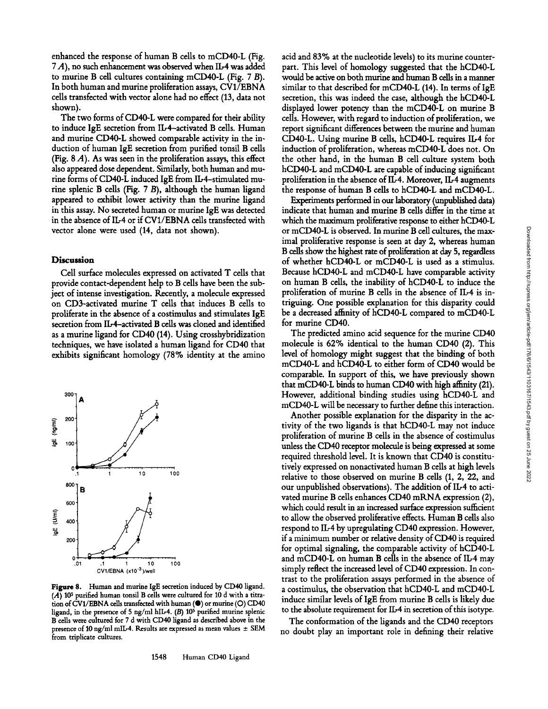enhanced the response of human B cells to mCD40-L (Fig. 7 A), no such enhancement was observed when IL-4 was added to murine B cell cultures containing mCD40-L (Fig.  $7B$ ). In both human and murine proliferation assays, CV1/EBNA cells transfected with vector alone had no effect (13, data not shown).

The two forms of CD40-L were compared for their ability to induce IgE secretion from ID4-activated B cells. Human and murine CD40-L showed comparable activity in the induction of human IgE secretion from purified tonsil B cells (Fig.  $8$  A). As was seen in the proliferation assays, this effect also appeared dose dependent. Similarly, both human and murine forms of CD40-L induced IgE from Ib4-stimulated murine splenic B cells (Fig.  $7B$ ), although the human ligand appeared to exhibit lower activity than the murine ligand in this assay. No secreted human or murine IgE was detected in the absence of IL-4 or if CV1/EBNA cells transfected with vector alone were used (14, data not shown).

#### **Discussion**

Cell surface molecules expressed on activated T cells that provide contact-dependent help to B cells have been the subject of intense investigation. Recently, a molecule expressed on CD3-activated murine T cells that induces B cells to proliferate in the absence of a costimulus and stimulates IgE secretion from Ib4-activated B cells was cloned and identified as a murine ligand for CD40 (14). Using crosshybridization techniques, we have isolated a human ligand for CD40 that exhibits significant homology (78% identity at the amino



**Figure** 8. Human and murine IgE secretion induced by CD40 ligand.  $(A)$  10<sup>5</sup> purified human tonsil B cells were cultured for 10 d with a titration of CV1/EBNA cells transfected with human ( $\bullet$ ) or murine (O) CD40 ligand, in the presence of 5 ng/ml hIL-4,  $(B)$  10<sup>5</sup> purified murine splenic B cells were cultured for 7 d with CD40 ligand as described above in the presence of 10 ng/ml mlL-4. Results are expressed as mean values \_+ SEM from triplicate cultures.

acid and 83% at the nudeotide levels) to its murine counterpart. This level of homology suggested that the hCD40-L would be active on both murine and human B cells in a manner similar to that described for mCD40-L (14). In terms of IgE secretion, this was indeed the case, although the hCD40-L displayed lower potency than the mCD40-L on murine B cells. However, with regard to induction of proliferation, we report significant differences between the murine and human CD40-L. Using murine B cells, hCD40-L requires Ib4 for induction of proliferation, whereas mCD40-L does not. On the other hand, in the human B cell culture system both hCD40-L and mCD40-L are capable of inducing significant proliferation in the absence of IL-4. Moreover, IL-4 augments the response of human B cells to hCD40-L and mCD40-L.

Experiments performed in our laboratory (unpublished data) indicate that human and murine B cells differ in the time at which the maximum proliferative response to either hCD40-L or mCD40-L is observed. In murine B cell cultures, the maximal proliferative response is seen at day 2, whereas human B cells show the highest rate of proliferation at day 5, regardless of whether hCD40-L or mCD40-L is used as a stimulus. Because hCD40-L and mCD40-L have comparable activity on human B cells, the inability of hCD40-L to induce the proliferation of murine B cells in the absence of IL-4 is intriguing. One possible explanation for this disparity could be a decreased affinity of hCD40-L compared to mCD40-L for murine CD40.

The predicted amino acid sequence for the murine CD40 molecule is 62% identical to the human CD40 (2). This level of homology might suggest that the binding of both mCD40-L and hCD40-L to either form of CD40 would be comparable. In support of this, we have previously shown that mCD40-L binds to human CD40 with high affinity (21). However, additional binding studies using hCD40-L and mCD40-L will be necessary to further define this interaction.

Another possible explanation for the disparity in the activity of the two ligands is that hCD40-L may not induce proliferation of murine B cells in the absence of costimulus unless the CD40 receptor molecule is being expressed at some required threshold level. It is known that CD40 is constitutively expressed on nonactivated human B cells at high levels relative to those observed on murine B cells (1, 2, 22, and our unpublished observations). The addition of IL-4 to activated murine B cells enhances CD40 mRNA expression (2), which could result in an increased surface expression sufficient to allow the observed proliferative effects. Human B cells also respond to IL-4 by upregulating CD40 expression. However, if a minimum number or relative density of CD40 is required for optimal signaling, the comparable activity of hCD40-L and mCD40-L on human B cells in the absence of IL-4 may simply reflect the increased level of CD40 expression. In contrast to the proliferation assays performed in the absence of a costimulus, the observation that hCD40-L and mCD40-L induce similar levels of IgE from murine B cells is likely due to the absolute requirement for IL-4 in secretion of this isotype.

The conformation of the ligands and the CD40 receptors no doubt play an important role in defming their relative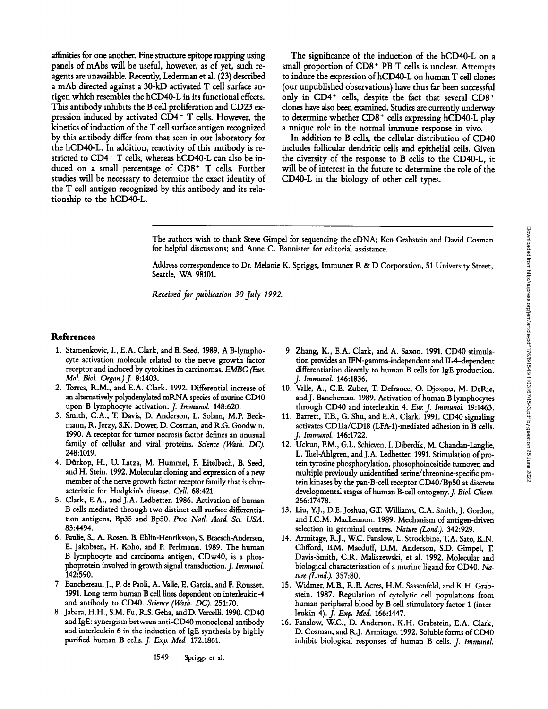affinities for one mother. Fine structure epitope mapping using panels of mAbs will be useful, however, as of yet, such reagents are unavailable. Recently, Lederman et al. (23) described a mAb directed against a 30-kD activated T cell surface antigen which resembles the hCD40-L in its functional effects. This antibody inhibits the B cell proliferation and CD23 expression induced by activated CD4 + T cells. However, the kinetics of induction of the T cell surface antigen recognized by this antibody differ from that seen in our laboratory for the hCD40-L. In addition, reactivity of this antibody is restricted to CD4<sup>+</sup> T cells, whereas hCD40-L can also be induced on a small percentage of CD8<sup>+</sup> T cells. Further studies will be necessary to determine the exact identity of the T cell antigen recognized by this antibody and its relationship to the hCD40-L.

The significance of the induction of the hCD40-L on a small proportion of CD8<sup>+</sup> PB T cells is unclear. Attempts to induce the expression of hCD40-L on human T cell clones (our unpublished observations) have thus far been successful only in  $CD4^+$  cells, despite the fact that several  $CD8^+$ clones have also been examined. Studies are currently underway to determine whether CD8<sup>+</sup> cells expressing hCD40-L play a unique role in the normal immune response in vivo.

In addition to B cells, the cellular distribution of CD40 includes follicular dendritic cells and epithelial cells. Given the diversity of the response to B ceils to the CD40-L, it will be of interest in the future to determine the role of the CD40-L in the biology of other ceil types.

The authors wish to thank Steve Gimpel for sequencing the cDNA; Ken Grabstein and David Cosman for helpful discussions; and Anne C. Bannister for editorial assistance.

Address correspondence to Dr. Melanie K. Spriggs, Immunex R. & D Corporation, 51 University Street, Seattle, WA 98101.

*Received for publication 30 July 1992.* 

#### **References**

- 1. Stamenkovic, I., E.A. Clark, and B. Seed. 1989. A B-lymphocyte activation molecule related to the nerve growth factor receptor and induced by cytokines in carcinomas. EMBO (Eur. *Mol. Biol. Organ.) f* 8:1403.
- 2. Torres, R.M., and E.A. Clark. 1992. Differential increase of an alternatively polyadenylated mRNA species of murine CD40 upon B lymphocyte activation. *J. Immunol.* 148:620.
- 3. Smith, C.A., T. Davis, D. Anderson, L. Solam, M.P. Beckmann, R. Jerzy, S.K. Dower, D. Cosman, and R.G. Goodwin. 1990. A receptor for tumor necrosis factor defines an unusual family of cellular and viral proteins. *Science (Wash. DC).*  248:1019.
- 4. Diirkop, H., U. Latza, M. Hummel, F. Eitelbach, B. Seed, and H. Stein. 1992. Molecular cloning and expression of a new member of the nerve growth factor receptor family that is characteristic for Hodgkin's disease. *Cell.* 68:421.
- 5. Clark, E.A., and J.A. Ledbetter. 1986. Activation of human B cells mediated through two distinct cell surface differentiation antigens, Bp35 and Bp50. *Proc. Natl. A\_cad. Sci. USA.*  83:4494.
- 6. Paulie, S., A. Rosen, B. Ehlin-Henriksson, S. Braesch-Andersen, E. Jakobsen, H. Koho, and P. Perlmann. 1989. The human B lymphocyte and carcinoma antigen, CDw40, is a phosphoprotein involved in growth signal transduction.J. *Immunol.*  142:590.
- 7. Banchereau, J., P. de Paoli, A. Valh, E. Garcia, and F. Rousset. 1991. Long term human B cell lines dependent on interleukin-4 and antibody to CD40. *Science (Wash. DC).* 251:70.
- 8. Jabara, H.H., S.M. Fu, K.S. Geha, and D. Vercelli. 1990. CD40 and IgE: synergism between anti-CD40 monoclonal antibody and interleukin 6 in the induction of IgE synthesis by highly purified human B cells. *J. Exp. Med.* 172:1861.
- 9. Zhang, K., E.A. Clark, and A. Saxon. 1991. CD40 stimulation provides an IFN-gamma-independent and IL-4-dependent differentiation directly to human B cells for IgE production. *f Immunol.* 146:1836.
- 10. Valle, A., C.E. Zuber, T. Defrance, O. Djossou, M. DeRie, andJ. Banchereau. 1989. Activation of human B lymphocytes through CD40 and interleukin 4. *Fur. J. Immunol.* 19:1463.
- 11. Barrett, T.B., G. Shu, and E.A. Clark. 1991. CD40 signaling activates CD11a/CD18 (LFA-1)-mediated adhesion in B calls. *f Immunol.* 146:1722.
- 12. Uckun, F.M., G.L. Schieven, I. Diberdik, M. Chandan-Langlie, L. Tuel-Ahlgren, and J.A. Ledbetter. 1991. Stimulation of protein tyrosine phosphorylation, phosophoinositide turnover, and multiple previously unidentified serine/threonine-specific protein kinases by the pan-B-cell receptor CD40/Bp50 at discrete developmental stages of human B-cell ontogeny. *J. Biol. Chem.* 266:17478.
- 13. Liu, Y.J., D.E. Joshua, G.T. Williams, C.A. Smith, J. Gordon, and I.C.M. MacLennon. 1989. Mechanism of antigen-driven selection in germinal centres. *Nature (Lond.).* 342:929.
- 14. Armitage, R.J., W.C. Fanslow, L. Strockbine, T.A. Sato, K.N. Clifford, B.M. Macduff, D.M. Anderson, S.D. Gimpel, T. Davis-Smith, C.R. Maliszewski, et al. 1992. Molecular and biological characterization of a murine ligand for CD40. *Nature (Lond.).* 357:80.
- 15. Widmer, M.B., R.B. Acres, H.M. Sassenfeld, and K.H. Grabstein. 1987. Regulation of cytolytic cell populations from human peripheral blood by B cell stimulatory factor 1 (interleukin 4). *J. Exp. Med.* 166:1447.
- 16. Fanslow, W.C., D. Anderson, K.H. Grabstein, E.A. Clark, D. Cosman, and R.J. Armitage. 1992. Soluble forms of CD40 inhibit biological responses of human B cells. *J. Immunol.*

1549 Spriggs et al.